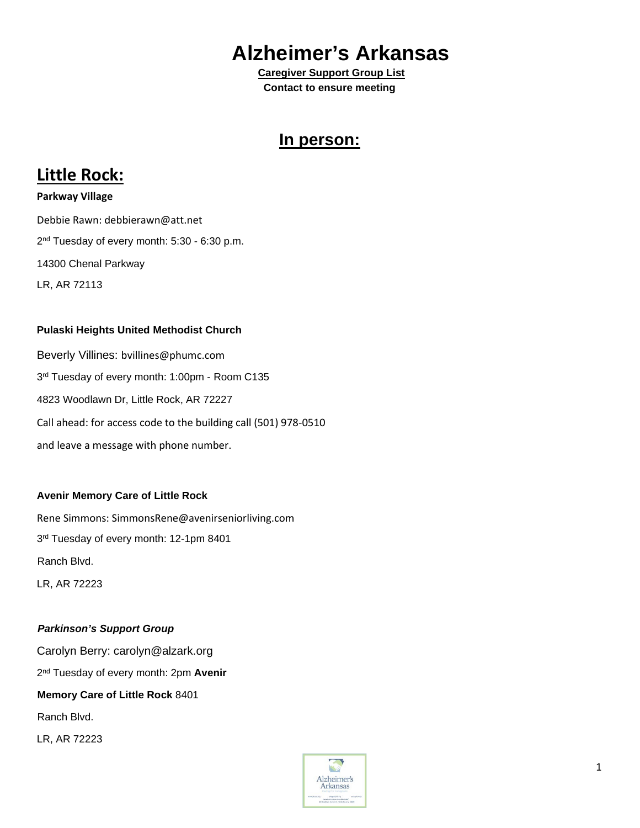# **Alzheimer's Arkansas**<br>Caregiver Support Group List

 **Contact to ensure meeting** 

### **In person:**

### **Little Rock:**

**Parkway Village**  Debbie Rawn: debbierawn@att.net 2<sup>nd</sup> Tuesday of every month: 5:30 - 6:30 p.m. 14300 Chenal Parkway LR, AR 72113

### **Pulaski Heights United Methodist Church**

Beverly Villines: bvillines@phumc.com 3<sup>rd</sup> Tuesday of every month: 1:00pm - Room C135 4823 Woodlawn Dr, Little Rock, AR 72227 Call ahead: for access code to the building call (501) 978-0510 and leave a message with phone number.

### **Avenir Memory Care of Little Rock**

Rene Simmons: SimmonsRene@avenirseniorliving.com 3rd Tuesday of every month: 12-1pm 8401 Ranch Blvd. LR, AR 72223

### *Parkinson's Support Group*

Carolyn Berry: carolyn@alzark.org 2nd Tuesday of every month: 2pm **Avenir Memory Care of Little Rock** 8401 Ranch Blvd. LR, AR 72223

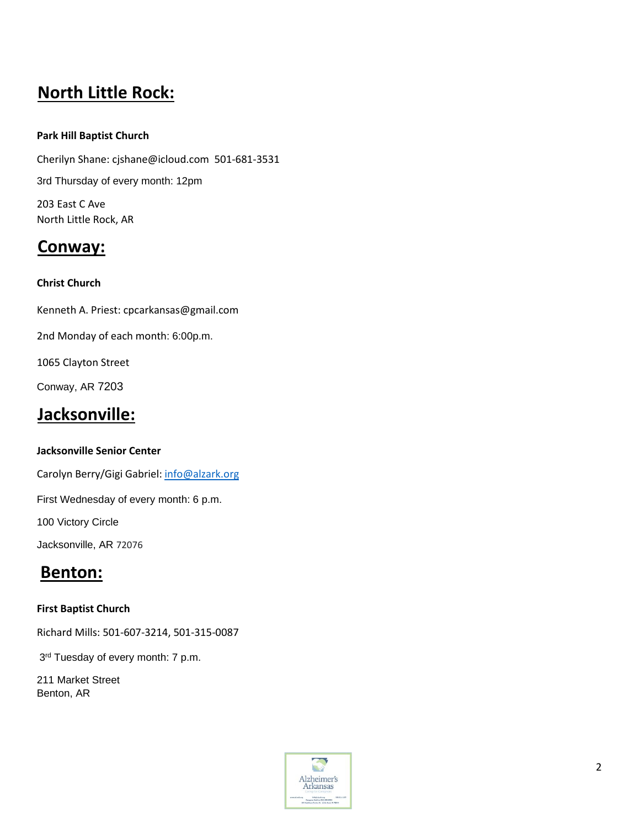# **North Little Rock:**

### **Park Hill Baptist Church**

Cherilyn Shane: cjshane@icloud.com 501-681-3531 3rd Thursday of every month: 12pm 203 East C Ave North Little Rock, AR

### **Conway:**

### **Christ Church**

Kenneth A. Priest: cpcarkansas@gmail.com

2nd Monday of each month: 6:00p.m.

1065 Clayton Street

Conway, AR 7203

### **Jacksonville:**

### **Jacksonville Senior Center**

Carolyn Berry/Gigi Gabriel[: info@alzark.org](mailto:info@alzark.org)

First Wednesday of every month: 6 p.m.

100 Victory Circle

Jacksonville, AR 72076

### **Benton:**

### **First Baptist Church**

Richard Mills: 501-607-3214, 501-315-0087

3rd Tuesday of every month: 7 p.m.

211 Market Street Benton, AR

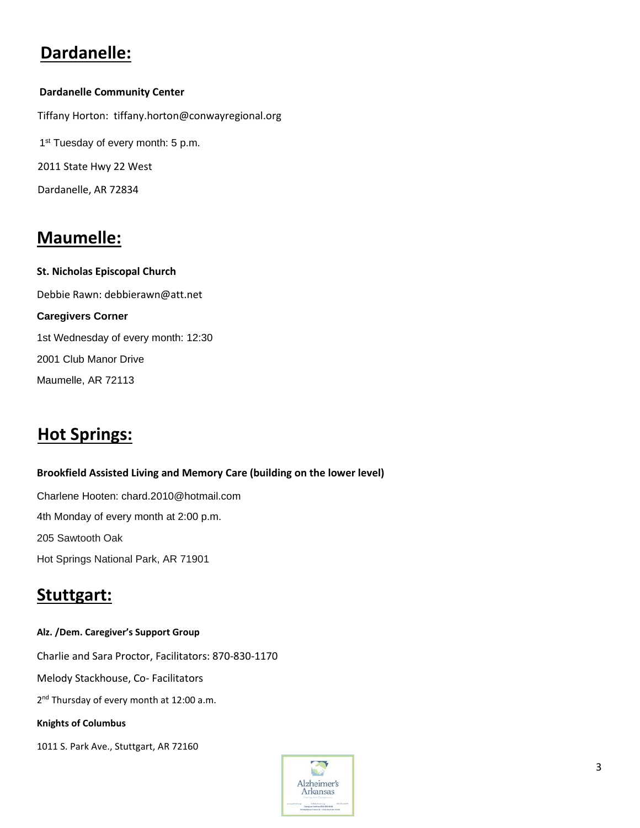# **Dardanelle:**

### **Dardanelle Community Center**

Tiffany Horton: tiffany.horton@conwayregional.org 1<sup>st</sup> Tuesday of every month: 5 p.m. 2011 State Hwy 22 West Dardanelle, AR 72834

## **Maumelle:**

**St. Nicholas Episcopal Church**  Debbie Rawn: debbierawn@att.net **Caregivers Corner** 1st Wednesday of every month: 12:30 2001 Club Manor Drive Maumelle, AR 72113

# **Hot Springs:**

# **Brookfield Assisted Living and Memory Care (building on the lower level)**

Charlene Hooten: chard.2010@hotmail.com 4th Monday of every month at 2:00 p.m. 205 Sawtooth Oak Hot Springs National Park, AR 71901

### **Stuttgart:**

#### **Alz. /Dem. Caregiver's Support Group**

Charlie and Sara Proctor, Facilitators: 870-830-1170

Melody Stackhouse, Co- Facilitators

2<sup>nd</sup> Thursday of every month at 12:00 a.m.

#### **Knights of Columbus**

1011 S. Park Ave., Stuttgart, AR 72160